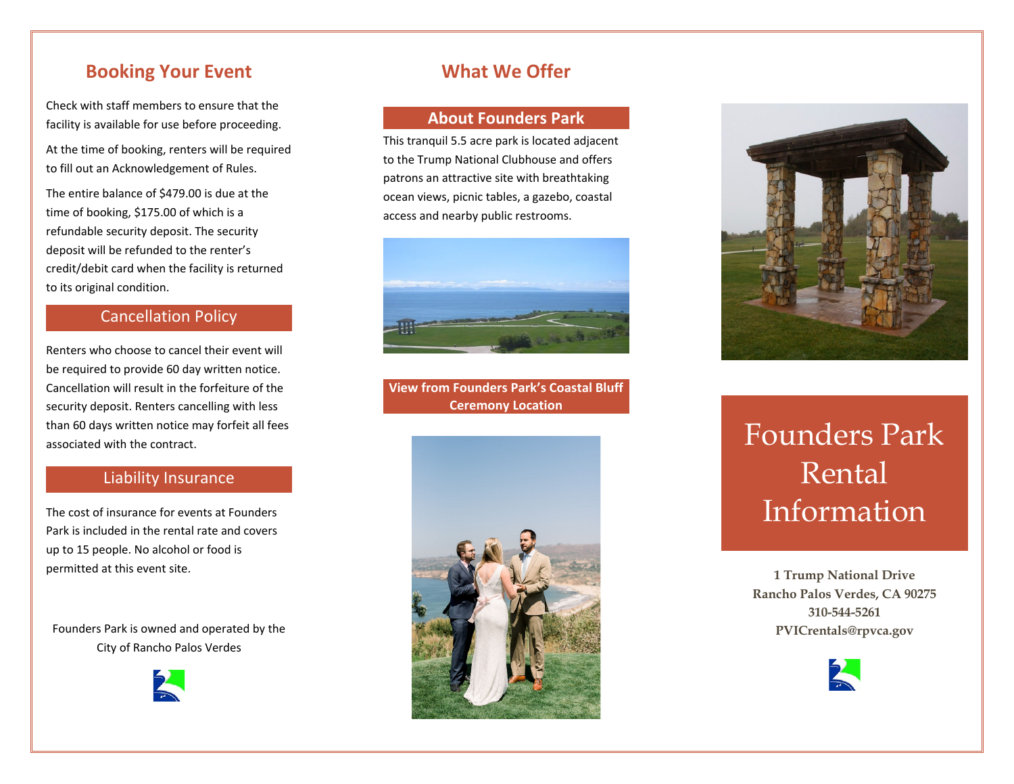## **Booking Your Event**

Check with staff members to ensure that the facility is available for use before proceeding.

At the time of booking, renters will be required to fill out an Acknowledgement of Rules.

The entire balance of \$479.00 is due at the time of booking, \$175.00 of which is <sup>a</sup> refundable security deposit. The security deposit will be refunded to the renter's credit/debit card when the facility is returned to its original condition.

#### Cancellation Policy

Renters who choose to cancel their event will be required to provide 60 day written notice. Cancellation will result in the forfeiture of the security deposit. Renters cancelling with less than 60 days written notice may forfeit all fees associated with the contract.

## Liability Insurance

The cost of insurance for events at Founders Park is included in the rental rate and covers up to 15 people. No alcohol or food is permitted at this event site.

Founders Park is owned and operated by the City of Rancho Palos Verdes



## **What We Offer**

#### **About Founders Park**

This tranquil 5.5 acre park is located adjacent to the Trump National Clubhouse and offers patrons an attractive site with breathtaking ocean views, picnic tables, <sup>a</sup> gazebo, coastal access and nearby public restrooms.



**View from Founders Park's Coastal Bluff Ceremony Location**





# Founders Park Rental Information

**1 Trump National Drive Rancho Palos Verdes, CA 90275 310-544-5261 PVICrentals@rpvca.gov**